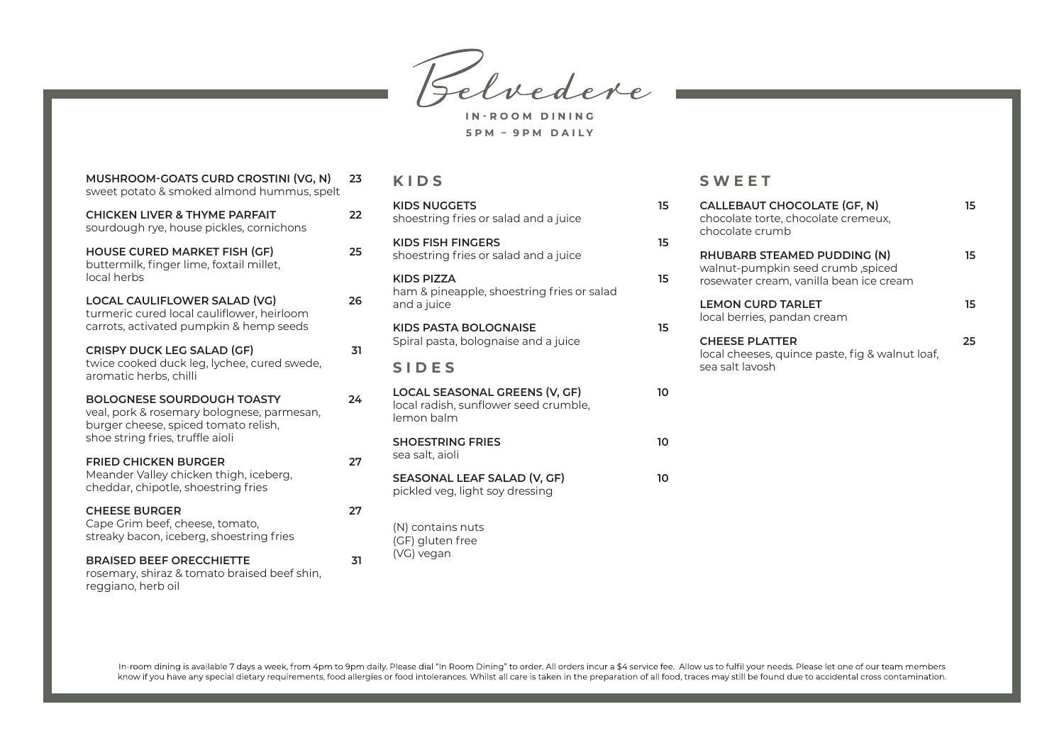Belvedere

IN-ROOM DINING **5 P M – 9 P M D A I LY**

| MUSHROOM-GOATS CURD CROSTINI (VG, N)<br>sweet potato & smoked almond hummus, spelt                                      | 23 | KIDS                                                                                 |    |
|-------------------------------------------------------------------------------------------------------------------------|----|--------------------------------------------------------------------------------------|----|
| <b>CHICKEN LIVER &amp; THYME PARFAIT</b><br>sourdough rye, house pickles, cornichons                                    | 22 | <b>KIDS NUGGETS</b><br>shoestring fries or salad and a juice                         | 15 |
| <b>HOUSE CURED MARKET FISH (GF)</b><br>buttermilk, finger lime, foxtail millet,                                         | 25 | <b>KIDS FISH FINGERS</b><br>shoestring fries or salad and a juice                    | 15 |
| local herbs                                                                                                             |    | <b>KIDS PIZZA</b>                                                                    | 15 |
| LOCAL CAULIFLOWER SALAD (VG)<br>turmeric cured local cauliflower, heirloom                                              | 26 | ham & pineapple, shoestring fries or salad<br>and a juice                            |    |
| carrots, activated pumpkin & hemp seeds                                                                                 |    | KIDS PASTA BOLOGNAISE                                                                | 15 |
| <b>CRISPY DUCK LEG SALAD (GF)</b>                                                                                       | 31 | Spiral pasta, bolognaise and a juice                                                 |    |
| twice cooked duck leg, lychee, cured swede,<br>aromatic herbs, chilli                                                   |    | <b>SIDES</b>                                                                         |    |
| <b>BOLOGNESE SOURDOUGH TOASTY</b><br>veal, pork & rosemary bolognese, parmesan,<br>burger cheese, spiced tomato relish, | 24 | LOCAL SEASONAL GREENS (V, GF)<br>local radish, sunflower seed crumble,<br>lemon balm | 10 |
| shoe string fries, truffle aioli                                                                                        |    | <b>SHOESTRING FRIES</b>                                                              | 10 |
| <b>FRIED CHICKEN BURGER</b>                                                                                             | 27 | sea salt, aioli                                                                      |    |
| Meander Valley chicken thigh, iceberg,<br>cheddar, chipotle, shoestring fries                                           |    | SEASONAL LEAF SALAD (V, GF)<br>pickled veg, light soy dressing                       | 10 |
| <b>CHEESE BURGER</b>                                                                                                    | 27 |                                                                                      |    |
| Cape Grim beef, cheese, tomato,<br>streaky bacon, iceberg, shoestring fries                                             |    | (N) contains nuts<br>(GF) gluten free                                                |    |
| <b>BRAISED BEEF ORECCHIETTE</b><br>rosemary, shiraz & tomato braised beef shin,<br>reggiano, herb oil                   | 31 | (VG) vegan                                                                           |    |
|                                                                                                                         |    |                                                                                      |    |

## **SWEET**

| 5<br>5 | CALLEBAUT CHOCOLATE (GF, N)<br>chocolate torte, chocolate cremeux,<br>chocolate crumb                       | 15 |  |
|--------|-------------------------------------------------------------------------------------------------------------|----|--|
| 5      | RHUBARB STEAMED PUDDING (N)<br>walnut-pumpkin seed crumb, spiced<br>rosewater cream, vanilla bean ice cream | 15 |  |
| 5      | <b>LEMON CURD TARLET</b><br>local berries, pandan cream                                                     |    |  |
|        | <b>CHEESE PLATTER</b><br>local cheeses, quince paste, fig & walnut loaf,<br>sea salt lavosh                 | 25 |  |
| n      |                                                                                                             |    |  |
| n      |                                                                                                             |    |  |
| n      |                                                                                                             |    |  |
|        |                                                                                                             |    |  |

In-room dining is available 7 days a week, from 4pm to 9pm daily. Please dial "In Room Dining" to order. All orders incur a \$4 service fee. Allow us to fulfil your needs. Please let one of our team members<br>know if you hav